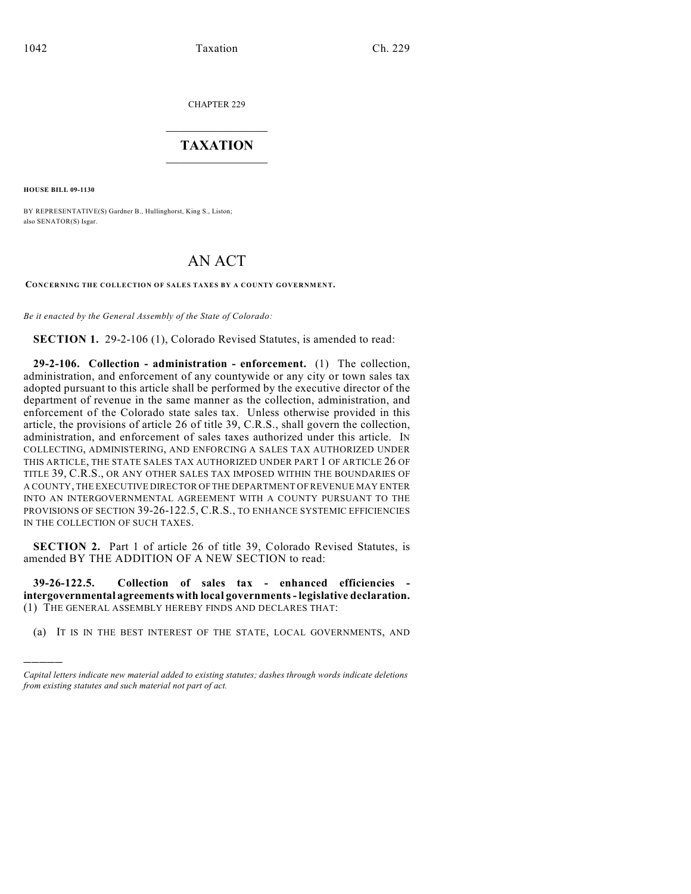CHAPTER 229

## $\mathcal{L}_\text{max}$  . The set of the set of the set of the set of the set of the set of the set of the set of the set of the set of the set of the set of the set of the set of the set of the set of the set of the set of the set **TAXATION**  $\_$

**HOUSE BILL 09-1130**

)))))

BY REPRESENTATIVE(S) Gardner B., Hullinghorst, King S., Liston; also SENATOR(S) Isgar.

## AN ACT

**CONCERNING THE COLLECTION OF SALES TAXES BY A COUNTY GOVERNMENT.**

*Be it enacted by the General Assembly of the State of Colorado:*

**SECTION 1.** 29-2-106 (1), Colorado Revised Statutes, is amended to read:

**29-2-106. Collection - administration - enforcement.** (1) The collection, administration, and enforcement of any countywide or any city or town sales tax adopted pursuant to this article shall be performed by the executive director of the department of revenue in the same manner as the collection, administration, and enforcement of the Colorado state sales tax. Unless otherwise provided in this article, the provisions of article 26 of title 39, C.R.S., shall govern the collection, administration, and enforcement of sales taxes authorized under this article. IN COLLECTING, ADMINISTERING, AND ENFORCING A SALES TAX AUTHORIZED UNDER THIS ARTICLE, THE STATE SALES TAX AUTHORIZED UNDER PART 1 OF ARTICLE 26 OF TITLE 39, C.R.S., OR ANY OTHER SALES TAX IMPOSED WITHIN THE BOUNDARIES OF A COUNTY, THE EXECUTIVE DIRECTOR OF THE DEPARTMENT OF REVENUE MAY ENTER INTO AN INTERGOVERNMENTAL AGREEMENT WITH A COUNTY PURSUANT TO THE PROVISIONS OF SECTION 39-26-122.5, C.R.S., TO ENHANCE SYSTEMIC EFFICIENCIES IN THE COLLECTION OF SUCH TAXES.

**SECTION 2.** Part 1 of article 26 of title 39, Colorado Revised Statutes, is amended BY THE ADDITION OF A NEW SECTION to read:

**39-26-122.5. Collection of sales tax - enhanced efficiencies intergovernmental agreements with local governments - legislative declaration.** (1) THE GENERAL ASSEMBLY HEREBY FINDS AND DECLARES THAT:

(a) IT IS IN THE BEST INTEREST OF THE STATE, LOCAL GOVERNMENTS, AND

*Capital letters indicate new material added to existing statutes; dashes through words indicate deletions from existing statutes and such material not part of act.*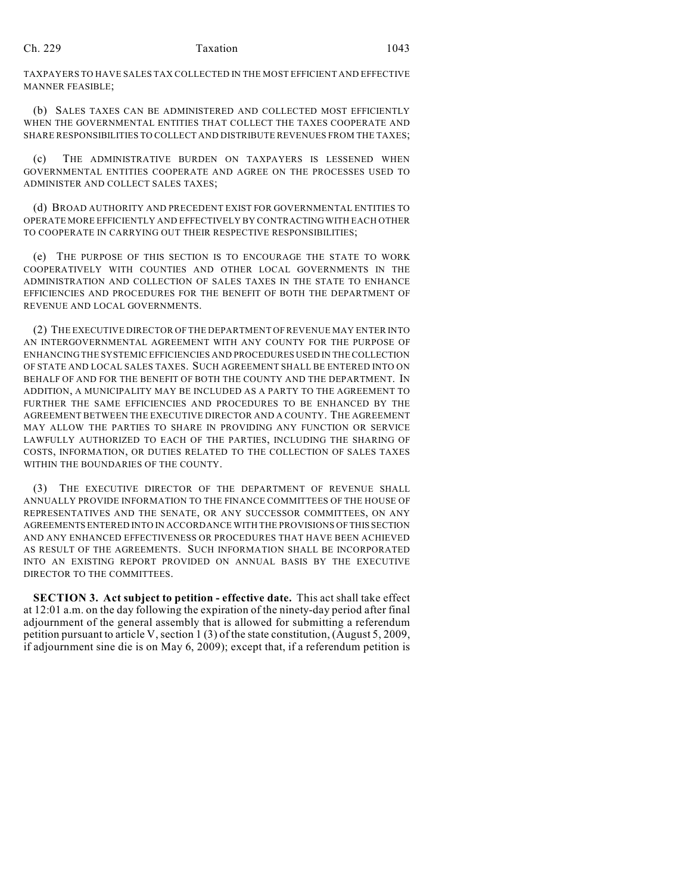## Ch. 229 **Taxation** 1043

TAXPAYERS TO HAVE SALES TAX COLLECTED IN THE MOST EFFICIENT AND EFFECTIVE MANNER FEASIBLE;

(b) SALES TAXES CAN BE ADMINISTERED AND COLLECTED MOST EFFICIENTLY WHEN THE GOVERNMENTAL ENTITIES THAT COLLECT THE TAXES COOPERATE AND SHARE RESPONSIBILITIES TO COLLECT AND DISTRIBUTE REVENUES FROM THE TAXES;

(c) THE ADMINISTRATIVE BURDEN ON TAXPAYERS IS LESSENED WHEN GOVERNMENTAL ENTITIES COOPERATE AND AGREE ON THE PROCESSES USED TO ADMINISTER AND COLLECT SALES TAXES;

(d) BROAD AUTHORITY AND PRECEDENT EXIST FOR GOVERNMENTAL ENTITIES TO OPERATE MORE EFFICIENTLY AND EFFECTIVELY BY CONTRACTING WITH EACH OTHER TO COOPERATE IN CARRYING OUT THEIR RESPECTIVE RESPONSIBILITIES;

(e) THE PURPOSE OF THIS SECTION IS TO ENCOURAGE THE STATE TO WORK COOPERATIVELY WITH COUNTIES AND OTHER LOCAL GOVERNMENTS IN THE ADMINISTRATION AND COLLECTION OF SALES TAXES IN THE STATE TO ENHANCE EFFICIENCIES AND PROCEDURES FOR THE BENEFIT OF BOTH THE DEPARTMENT OF REVENUE AND LOCAL GOVERNMENTS.

(2) THE EXECUTIVE DIRECTOR OF THE DEPARTMENT OF REVENUE MAY ENTER INTO AN INTERGOVERNMENTAL AGREEMENT WITH ANY COUNTY FOR THE PURPOSE OF ENHANCING THE SYSTEMIC EFFICIENCIES AND PROCEDURES USED IN THE COLLECTION OF STATE AND LOCAL SALES TAXES. SUCH AGREEMENT SHALL BE ENTERED INTO ON BEHALF OF AND FOR THE BENEFIT OF BOTH THE COUNTY AND THE DEPARTMENT. IN ADDITION, A MUNICIPALITY MAY BE INCLUDED AS A PARTY TO THE AGREEMENT TO FURTHER THE SAME EFFICIENCIES AND PROCEDURES TO BE ENHANCED BY THE AGREEMENT BETWEEN THE EXECUTIVE DIRECTOR AND A COUNTY. THE AGREEMENT MAY ALLOW THE PARTIES TO SHARE IN PROVIDING ANY FUNCTION OR SERVICE LAWFULLY AUTHORIZED TO EACH OF THE PARTIES, INCLUDING THE SHARING OF COSTS, INFORMATION, OR DUTIES RELATED TO THE COLLECTION OF SALES TAXES WITHIN THE BOUNDARIES OF THE COUNTY.

(3) THE EXECUTIVE DIRECTOR OF THE DEPARTMENT OF REVENUE SHALL ANNUALLY PROVIDE INFORMATION TO THE FINANCE COMMITTEES OF THE HOUSE OF REPRESENTATIVES AND THE SENATE, OR ANY SUCCESSOR COMMITTEES, ON ANY AGREEMENTS ENTERED INTO IN ACCORDANCE WITH THE PROVISIONS OF THIS SECTION AND ANY ENHANCED EFFECTIVENESS OR PROCEDURES THAT HAVE BEEN ACHIEVED AS RESULT OF THE AGREEMENTS. SUCH INFORMATION SHALL BE INCORPORATED INTO AN EXISTING REPORT PROVIDED ON ANNUAL BASIS BY THE EXECUTIVE DIRECTOR TO THE COMMITTEES.

**SECTION 3. Act subject to petition - effective date.** This act shall take effect at 12:01 a.m. on the day following the expiration of the ninety-day period after final adjournment of the general assembly that is allowed for submitting a referendum petition pursuant to article V, section 1 (3) of the state constitution, (August 5, 2009, if adjournment sine die is on May 6, 2009); except that, if a referendum petition is